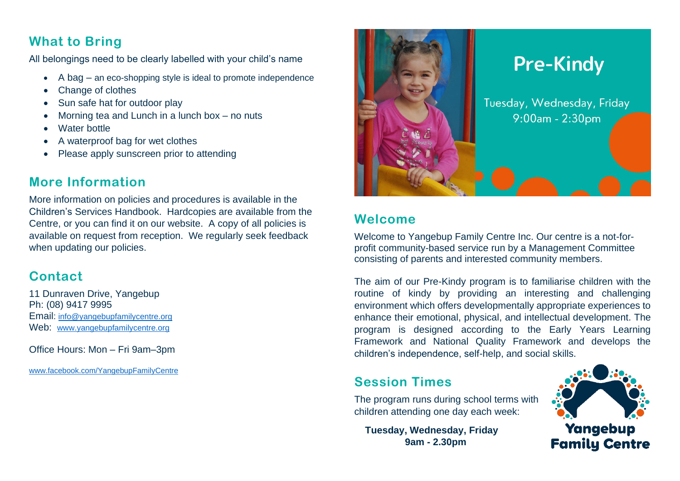### **What to Bring**

All belongings need to be clearly labelled with your child's name

- A bag an eco-shopping style is ideal to promote independence
- Change of clothes
- Sun safe hat for outdoor play
- Morning tea and Lunch in a lunch box no nuts
- Water bottle
- A waterproof bag for wet clothes
- Please apply sunscreen prior to attending

### **More Information**

More information on policies and procedures is available in the Children's Services Handbook. Hardcopies are available from the Centre, or you can find it on our website. A copy of all policies is available on request from reception. We regularly seek feedback when updating our policies.

# **Contact**

11 Dunraven Drive, Yangebup Ph: (08) 9417 9995 Email: [info@yangebupfamilycentre.org](mailto:info@yangebupfamilycentre.org) Web: [www.yangebupfamilycentre.org](http://www.yangebupfamilycentre.org/)

Office Hours: Mon – Fri 9am–3pm

[www.facebook.com/YangebupFamilyCentre](https://www.facebook.com/YangebupFamilyCentre/)



# **Welcome**

Welcome to Yangebup Family Centre Inc. Our centre is a not-forprofit community-based service run by a Management Committee consisting of parents and interested community members.

The aim of our Pre-Kindy program is to familiarise children with the routine of kindy by providing an interesting and challenging environment which offers developmentally appropriate experiences to enhance their emotional, physical, and intellectual development. The program is designed according to the Early Years Learning Framework and National Quality Framework and develops the children's independence, self-help, and social skills.

# **Session Times**

The program runs during school terms with children attending one day each week:

 **Tuesday, Wednesday, Friday 9am - 2.30pm**



Yangebup **Family Centre**